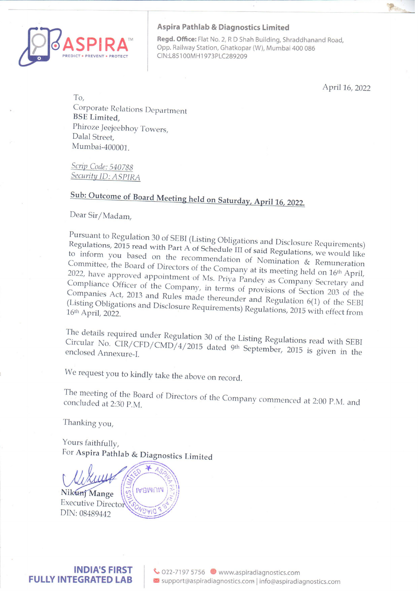

#### Aspira Pathlab & Diagnostics Limited

Regd. Office: Flat No. 2, R D Shah Building, Shraddhanand Road, Opp. Railway Station, Ghatkopar (W), Mumbai 400 086<br>CIN:L85100MH1973PLC289209

April 16, 2022

To, Corporate Relations Department BSE Limited, Phiroze Jeejeebhoy Towers, Dalal Street, Mumbai-400001.

Scrip Code: 540788 Security ID: ASPIRA

# Sub: Outcome of Board Meeting held on Saturday, April 16, 2022.

Dear Sir/Madam,

Pursuant to Regulation 30 of SEBI (Listing Obligations and Disclosure Requirements)<br>Regulations, 2015 read with Part A of Schedule III of with Disclosure Requirements) Regulations, 2015 read with Part A of Schedule III of said Regulations, we would like<br>to inform you based on the recommendation of M to inform you based on the recommendation of Nomination & Remuneration<br>Committee, the Board of Directors of the Company of Womination & Remuneration Committee, the Board of Directors of the Company at its meeting held on 16th April, 2022, have approved appointment of Ms. Priya Pandey as Company Secretary and Compliance Officer of the Company, in terms of provisions of Section 203 of the<br>Companies Act, 2013 and Rules made thereup density is not better 203 of the Companies Act, 2013 and Rules made thereunder and Regulation 6(1) of the SEBI<br>(Listing Obligations and Disclosure Requirements) Bear Listing 2016 the SEBI (Listing Obligations and Disclosure Requirements) Regulations, 2015 with effect from<br>16th April, 2022.

Circular The details No. required under Regulation 30 of the Listing Regulations read with SEBI CIR/ CFD/ CMD/4/2015 dated 9th September, 2015 is given in the enclosed Annexure-I,

We request you to kindly take the above on record.

concluded The meeting at of of the Board of Directors of the Company commenced at 2:00 P.M. and 2:30 P.M.

Thanking you,

Yours faithfully,<br>For Aspira Pathlab & Diagnostics Limited

**IABMUM** Nikunj Mange **Executive Director** DIN: 08489442